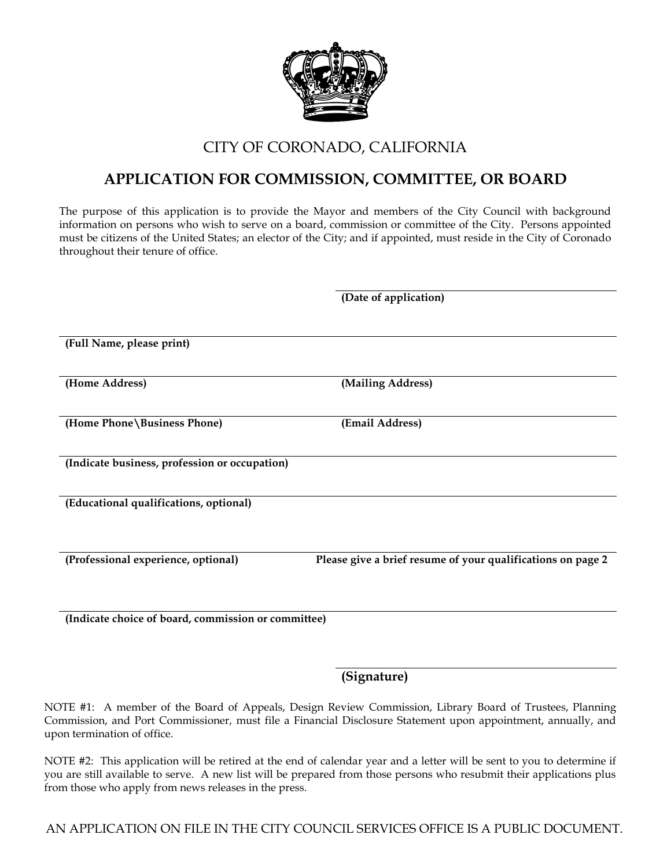

## CITY OF CORONADO, CALIFORNIA

## **APPLICATION FOR COMMISSION, COMMITTEE, OR BOARD**

The purpose of this application is to provide the Mayor and members of the City Council with background information on persons who wish to serve on a board, commission or committee of the City. Persons appointed must be citizens of the United States; an elector of the City; and if appointed, must reside in the City of Coronado throughout their tenure of office.

|                                                     | (Date of application)                                       |
|-----------------------------------------------------|-------------------------------------------------------------|
| (Full Name, please print)                           |                                                             |
| (Home Address)                                      | (Mailing Address)                                           |
| (Home Phone \Business Phone)                        | (Email Address)                                             |
| (Indicate business, profession or occupation)       |                                                             |
| (Educational qualifications, optional)              |                                                             |
| (Professional experience, optional)                 | Please give a brief resume of your qualifications on page 2 |
| (Indicate choice of board, commission or committee) |                                                             |

## **(Signature)**

NOTE #1: A member of the Board of Appeals, Design Review Commission, Library Board of Trustees, Planning Commission, and Port Commissioner, must file a Financial Disclosure Statement upon appointment, annually, and upon termination of office.

NOTE #2: This application will be retired at the end of calendar year and a letter will be sent to you to determine if you are still available to serve. A new list will be prepared from those persons who resubmit their applications plus from those who apply from news releases in the press.